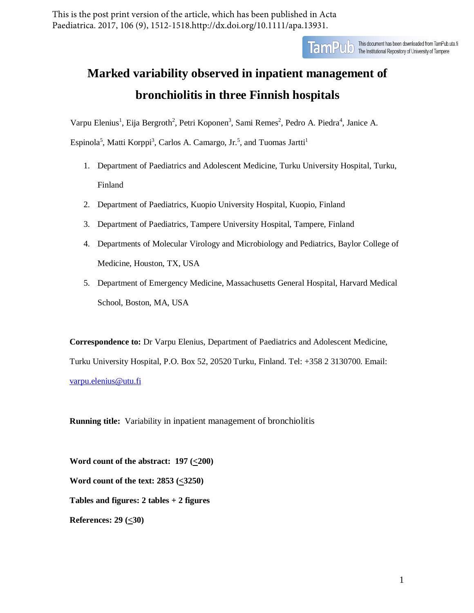This is the post print version of the article, which has been published in Acta Paediatrica. 2017, 106 (9), 1512-1518.http://dx.doi.org/10.1111/apa.13931.

TamPUC This document has been downloaded from TamPub.uta.fi<br>The Institutional Repository of University of Tampere

# **Marked variability observed in inpatient management of bronchiolitis in three Finnish hospitals**

Varpu Elenius<sup>1</sup>, Eija Bergroth<sup>2</sup>, Petri Koponen<sup>3</sup>, Sami Remes<sup>2</sup>, Pedro A. Piedra<sup>4</sup>, Janice A.

Espinola<sup>5</sup>, Matti Korppi<sup>3</sup>, Carlos A. Camargo, Jr.<sup>5</sup>, and Tuomas Jartti<sup>1</sup>

- 1. Department of Paediatrics and Adolescent Medicine, Turku University Hospital, Turku, Finland
- 2. Department of Paediatrics, Kuopio University Hospital, Kuopio, Finland
- 3. Department of Paediatrics, Tampere University Hospital, Tampere, Finland
- 4. Departments of Molecular Virology and Microbiology and Pediatrics, Baylor College of Medicine, Houston, TX, USA
- 5. Department of Emergency Medicine, Massachusetts General Hospital, Harvard Medical School, Boston, MA, USA

**Correspondence to:** Dr Varpu Elenius, Department of Paediatrics and Adolescent Medicine, Turku University Hospital, P.O. Box 52, 20520 Turku, Finland. Tel: +358 2 3130700. Email: [varpu.elenius@utu.fi](mailto:varpu.elenius@utu.fi)

**Running title:** Variability in inpatient management of bronchiolitis

**Word count of the abstract: 197 (<200) Word count of the text: 2853 (<3250) Tables and figures: 2 tables + 2 figures References: 29 (<30)**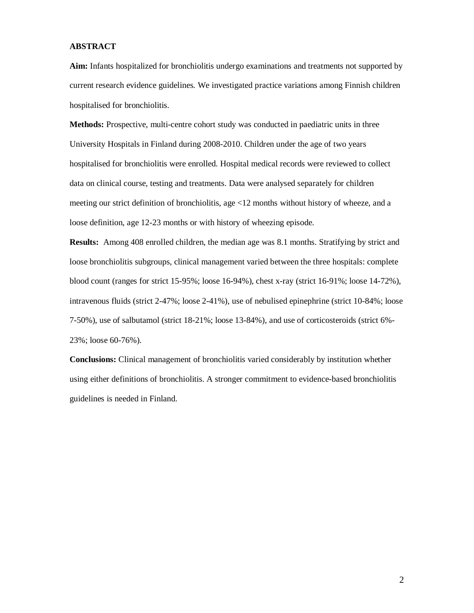# **ABSTRACT**

**Aim:** Infants hospitalized for bronchiolitis undergo examinations and treatments not supported by current research evidence guidelines. We investigated practice variations among Finnish children hospitalised for bronchiolitis.

**Methods:** Prospective, multi-centre cohort study was conducted in paediatric units in three University Hospitals in Finland during 2008-2010. Children under the age of two years hospitalised for bronchiolitis were enrolled. Hospital medical records were reviewed to collect data on clinical course, testing and treatments. Data were analysed separately for children meeting our strict definition of bronchiolitis, age <12 months without history of wheeze, and a loose definition, age 12-23 months or with history of wheezing episode.

**Results:** Among 408 enrolled children, the median age was 8.1 months. Stratifying by strict and loose bronchiolitis subgroups, clinical management varied between the three hospitals: complete blood count (ranges for strict 15-95%; loose 16-94%), chest x-ray (strict 16-91%; loose 14-72%), intravenous fluids (strict 2-47%; loose 2-41%), use of nebulised epinephrine (strict 10-84%; loose 7-50%), use of salbutamol (strict 18-21%; loose 13-84%), and use of corticosteroids (strict 6%- 23%; loose 60-76%).

**Conclusions:** Clinical management of bronchiolitis varied considerably by institution whether using either definitions of bronchiolitis. A stronger commitment to evidence-based bronchiolitis guidelines is needed in Finland.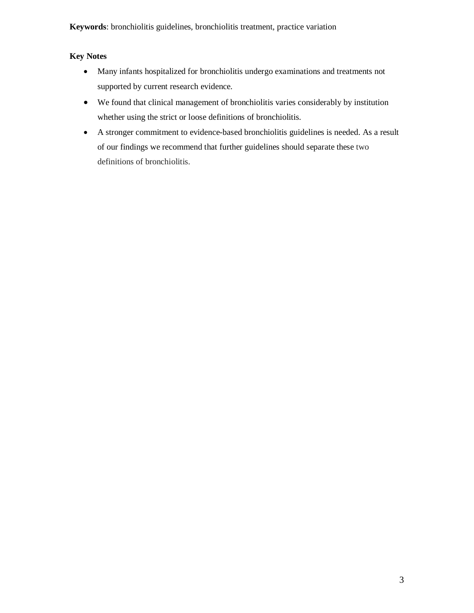**Keywords**: bronchiolitis guidelines, bronchiolitis treatment, practice variation

# **Key Notes**

- Many infants hospitalized for bronchiolitis undergo examinations and treatments not supported by current research evidence.
- We found that clinical management of bronchiolitis varies considerably by institution whether using the strict or loose definitions of bronchiolitis.
- A stronger commitment to evidence-based bronchiolitis guidelines is needed. As a result of our findings we recommend that further guidelines should separate these two definitions of bronchiolitis.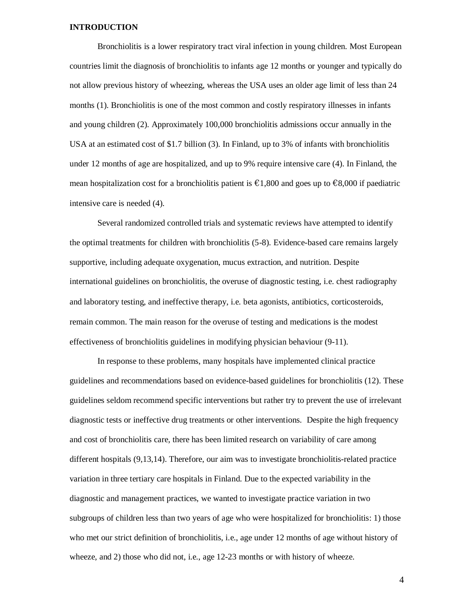## **INTRODUCTION**

Bronchiolitis is a lower respiratory tract viral infection in young children. Most European countries limit the diagnosis of bronchiolitis to infants age 12 months or younger and typically do not allow previous history of wheezing, whereas the USA uses an older age limit of less than 24 months (1). Bronchiolitis is one of the most common and costly respiratory illnesses in infants and young children (2). Approximately 100,000 bronchiolitis admissions occur annually in the USA at an estimated cost of \$1.7 billion (3). In Finland, up to 3% of infants with bronchiolitis under 12 months of age are hospitalized, and up to 9% require intensive care (4). In Finland, the mean hospitalization cost for a bronchiolitis patient is  $\epsilon$ 1,800 and goes up to  $\epsilon$ 8,000 if paediatric intensive care is needed (4).

Several randomized controlled trials and systematic reviews have attempted to identify the optimal treatments for children with bronchiolitis (5-8). Evidence-based care remains largely supportive, including adequate oxygenation, mucus extraction, and nutrition. Despite international guidelines on bronchiolitis, the overuse of diagnostic testing, i.e. chest radiography and laboratory testing, and ineffective therapy, i.e. beta agonists, antibiotics, corticosteroids, remain common. The main reason for the overuse of testing and medications is the modest effectiveness of bronchiolitis guidelines in modifying physician behaviour (9-11).

In response to these problems, many hospitals have implemented clinical practice guidelines and recommendations based on evidence-based guidelines for bronchiolitis (12). These guidelines seldom recommend specific interventions but rather try to prevent the use of irrelevant diagnostic tests or ineffective drug treatments or other interventions. Despite the high frequency and cost of bronchiolitis care, there has been limited research on variability of care among different hospitals (9,13,14). Therefore, our aim was to investigate bronchiolitis-related practice variation in three tertiary care hospitals in Finland. Due to the expected variability in the diagnostic and management practices, we wanted to investigate practice variation in two subgroups of children less than two years of age who were hospitalized for bronchiolitis: 1) those who met our strict definition of bronchiolitis, i.e., age under 12 months of age without history of wheeze, and 2) those who did not, i.e., age 12-23 months or with history of wheeze.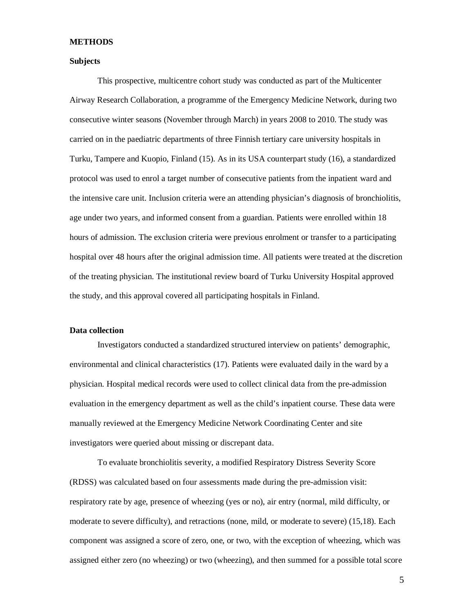#### **METHODS**

#### **Subjects**

This prospective, multicentre cohort study was conducted as part of the Multicenter Airway Research Collaboration, a programme of the Emergency Medicine Network, during two consecutive winter seasons (November through March) in years 2008 to 2010. The study was carried on in the paediatric departments of three Finnish tertiary care university hospitals in Turku, Tampere and Kuopio, Finland (15). As in its USA counterpart study (16), a standardized protocol was used to enrol a target number of consecutive patients from the inpatient ward and the intensive care unit. Inclusion criteria were an attending physician's diagnosis of bronchiolitis, age under two years, and informed consent from a guardian. Patients were enrolled within 18 hours of admission. The exclusion criteria were previous enrolment or transfer to a participating hospital over 48 hours after the original admission time. All patients were treated at the discretion of the treating physician. The institutional review board of Turku University Hospital approved the study, and this approval covered all participating hospitals in Finland.

#### **Data collection**

Investigators conducted a standardized structured interview on patients' demographic, environmental and clinical characteristics (17). Patients were evaluated daily in the ward by a physician. Hospital medical records were used to collect clinical data from the pre-admission evaluation in the emergency department as well as the child's inpatient course. These data were manually reviewed at the Emergency Medicine Network Coordinating Center and site investigators were queried about missing or discrepant data.

To evaluate bronchiolitis severity, a modified Respiratory Distress Severity Score (RDSS) was calculated based on four assessments made during the pre-admission visit: respiratory rate by age, presence of wheezing (yes or no), air entry (normal, mild difficulty, or moderate to severe difficulty), and retractions (none, mild, or moderate to severe) (15,18). Each component was assigned a score of zero, one, or two, with the exception of wheezing, which was assigned either zero (no wheezing) or two (wheezing), and then summed for a possible total score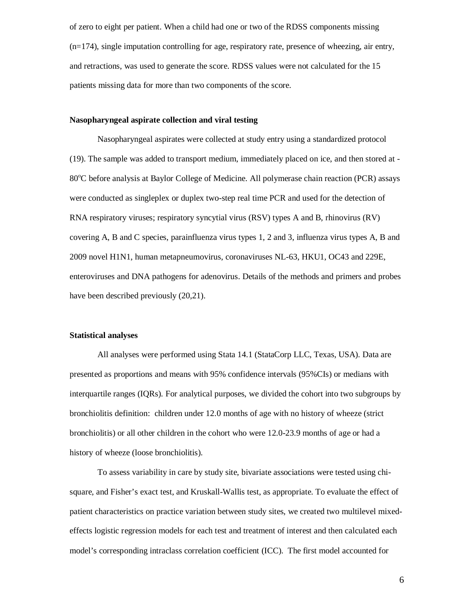of zero to eight per patient. When a child had one or two of the RDSS components missing  $(n=174)$ , single imputation controlling for age, respiratory rate, presence of wheezing, air entry, and retractions, was used to generate the score. RDSS values were not calculated for the 15 patients missing data for more than two components of the score.

#### **Nasopharyngeal aspirate collection and viral testing**

Nasopharyngeal aspirates were collected at study entry using a standardized protocol (19). The sample was added to transport medium, immediately placed on ice, and then stored at - 80°C before analysis at Baylor College of Medicine. All polymerase chain reaction (PCR) assays were conducted as singleplex or duplex two-step real time PCR and used for the detection of RNA respiratory viruses; respiratory syncytial virus (RSV) types A and B, rhinovirus (RV) covering A, B and C species, parainfluenza virus types 1, 2 and 3, influenza virus types A, B and 2009 novel H1N1, human metapneumovirus, coronaviruses NL-63, HKU1, OC43 and 229E, enteroviruses and DNA pathogens for adenovirus. Details of the methods and primers and probes have been described previously (20,21).

#### **Statistical analyses**

All analyses were performed using Stata 14.1 (StataCorp LLC, Texas, USA). Data are presented as proportions and means with 95% confidence intervals (95%CIs) or medians with interquartile ranges (IQRs). For analytical purposes, we divided the cohort into two subgroups by bronchiolitis definition: children under 12.0 months of age with no history of wheeze (strict bronchiolitis) or all other children in the cohort who were 12.0-23.9 months of age or had a history of wheeze (loose bronchiolitis).

To assess variability in care by study site, bivariate associations were tested using chisquare, and Fisher's exact test, and Kruskall-Wallis test, as appropriate. To evaluate the effect of patient characteristics on practice variation between study sites, we created two multilevel mixedeffects logistic regression models for each test and treatment of interest and then calculated each model's corresponding intraclass correlation coefficient (ICC). The first model accounted for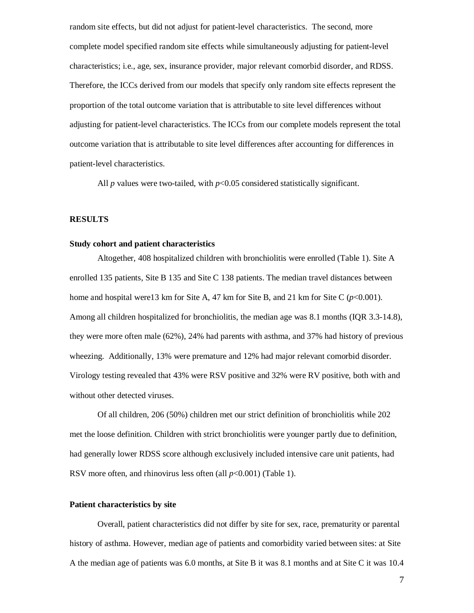random site effects, but did not adjust for patient-level characteristics. The second, more complete model specified random site effects while simultaneously adjusting for patient-level characteristics; i.e., age, sex, insurance provider, major relevant comorbid disorder, and RDSS. Therefore, the ICCs derived from our models that specify only random site effects represent the proportion of the total outcome variation that is attributable to site level differences without adjusting for patient-level characteristics. The ICCs from our complete models represent the total outcome variation that is attributable to site level differences after accounting for differences in patient-level characteristics.

All  $p$  values were two-tailed, with  $p<0.05$  considered statistically significant.

#### **RESULTS**

# **Study cohort and patient characteristics**

Altogether, 408 hospitalized children with bronchiolitis were enrolled (Table 1). Site A enrolled 135 patients, Site B 135 and Site C 138 patients. The median travel distances between home and hospital were13 km for Site A, 47 km for Site B, and 21 km for Site C  $(p<0.001)$ . Among all children hospitalized for bronchiolitis, the median age was 8.1 months (IQR 3.3-14.8), they were more often male (62%), 24% had parents with asthma, and 37% had history of previous wheezing. Additionally, 13% were premature and 12% had major relevant comorbid disorder. Virology testing revealed that 43% were RSV positive and 32% were RV positive, both with and without other detected viruses.

Of all children, 206 (50%) children met our strict definition of bronchiolitis while 202 met the loose definition. Children with strict bronchiolitis were younger partly due to definition, had generally lower RDSS score although exclusively included intensive care unit patients, had RSV more often, and rhinovirus less often (all  $p<0.001$ ) (Table 1).

#### **Patient characteristics by site**

Overall, patient characteristics did not differ by site for sex, race, prematurity or parental history of asthma. However, median age of patients and comorbidity varied between sites: at Site A the median age of patients was 6.0 months, at Site B it was 8.1 months and at Site C it was 10.4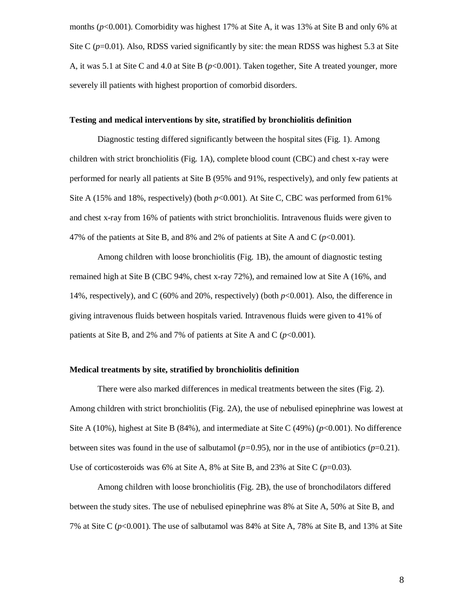months ( $p<0.001$ ). Comorbidity was highest 17% at Site A, it was 13% at Site B and only 6% at Site C  $(p=0.01)$ . Also, RDSS varied significantly by site: the mean RDSS was highest 5.3 at Site A, it was 5.1 at Site C and 4.0 at Site B (*p*<0.001). Taken together, Site A treated younger, more severely ill patients with highest proportion of comorbid disorders.

#### **Testing and medical interventions by site, stratified by bronchiolitis definition**

Diagnostic testing differed significantly between the hospital sites (Fig. 1). Among children with strict bronchiolitis (Fig. 1A), complete blood count (CBC) and chest x-ray were performed for nearly all patients at Site B (95% and 91%, respectively), and only few patients at Site A (15% and 18%, respectively) (both  $p<0.001$ ). At Site C, CBC was performed from 61% and chest x-ray from 16% of patients with strict bronchiolitis. Intravenous fluids were given to 47% of the patients at Site B, and 8% and 2% of patients at Site A and C  $(p<0.001)$ .

Among children with loose bronchiolitis (Fig. 1B), the amount of diagnostic testing remained high at Site B (CBC 94%, chest x-ray 72%), and remained low at Site A (16%, and 14%, respectively), and C (60% and 20%, respectively) (both *p*<0.001). Also, the difference in giving intravenous fluids between hospitals varied. Intravenous fluids were given to 41% of patients at Site B, and 2% and 7% of patients at Site A and C  $(p<0.001)$ .

#### **Medical treatments by site, stratified by bronchiolitis definition**

There were also marked differences in medical treatments between the sites (Fig. 2). Among children with strict bronchiolitis (Fig. 2A), the use of nebulised epinephrine was lowest at Site A (10%), highest at Site B (84%), and intermediate at Site C (49%) (*p*<0.001). No difference between sites was found in the use of salbutamol  $(p=0.95)$ , nor in the use of antibiotics  $(p=0.21)$ . Use of corticosteroids was 6% at Site A, 8% at Site B, and 23% at Site C  $(p=0.03)$ .

Among children with loose bronchiolitis (Fig. 2B), the use of bronchodilators differed between the study sites. The use of nebulised epinephrine was 8% at Site A, 50% at Site B, and 7% at Site C (*p*<0.001). The use of salbutamol was 84% at Site A, 78% at Site B, and 13% at Site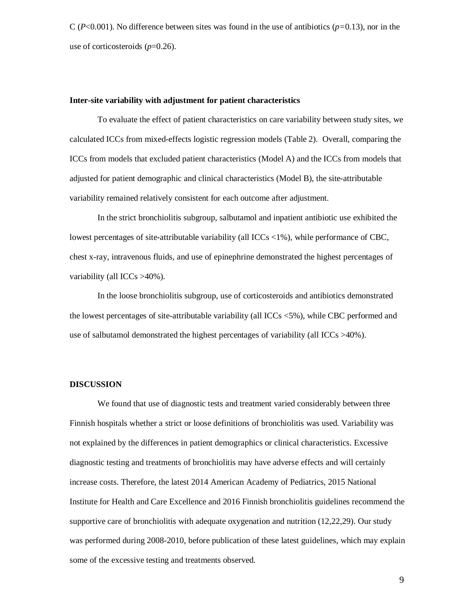$C (P<0.001)$ . No difference between sites was found in the use of antibiotics ( $p=0.13$ ), nor in the use of corticosteroids (*p*=0.26).

#### **Inter-site variability with adjustment for patient characteristics**

To evaluate the effect of patient characteristics on care variability between study sites, we calculated ICCs from mixed-effects logistic regression models (Table 2). Overall, comparing the ICCs from models that excluded patient characteristics (Model A) and the ICCs from models that adjusted for patient demographic and clinical characteristics (Model B), the site-attributable variability remained relatively consistent for each outcome after adjustment.

In the strict bronchiolitis subgroup, salbutamol and inpatient antibiotic use exhibited the lowest percentages of site-attributable variability (all  $\text{ICC}_s$  <1%), while performance of CBC, chest x-ray, intravenous fluids, and use of epinephrine demonstrated the highest percentages of variability (all ICCs >40%).

In the loose bronchiolitis subgroup, use of corticosteroids and antibiotics demonstrated the lowest percentages of site-attributable variability (all ICCs <5%), while CBC performed and use of salbutamol demonstrated the highest percentages of variability (all ICCs >40%).

# **DISCUSSION**

We found that use of diagnostic tests and treatment varied considerably between three Finnish hospitals whether a strict or loose definitions of bronchiolitis was used. Variability was not explained by the differences in patient demographics or clinical characteristics. Excessive diagnostic testing and treatments of bronchiolitis may have adverse effects and will certainly increase costs. Therefore, the latest 2014 American Academy of Pediatrics, 2015 National Institute for Health and Care Excellence and 2016 Finnish bronchiolitis guidelines recommend the supportive care of bronchiolitis with adequate oxygenation and nutrition (12,22,29). Our study was performed during 2008-2010, before publication of these latest guidelines, which may explain some of the excessive testing and treatments observed.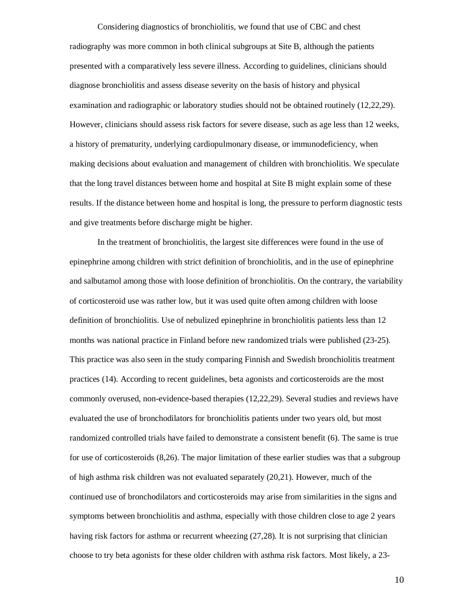Considering diagnostics of bronchiolitis, we found that use of CBC and chest radiography was more common in both clinical subgroups at Site B, although the patients presented with a comparatively less severe illness. According to guidelines, clinicians should diagnose bronchiolitis and assess disease severity on the basis of history and physical examination and radiographic or laboratory studies should not be obtained routinely (12,22,29). However, clinicians should assess risk factors for severe disease, such as age less than 12 weeks, a history of prematurity, underlying cardiopulmonary disease, or immunodeficiency, when making decisions about evaluation and management of children with bronchiolitis. We speculate that the long travel distances between home and hospital at Site B might explain some of these results. If the distance between home and hospital is long, the pressure to perform diagnostic tests and give treatments before discharge might be higher.

In the treatment of bronchiolitis, the largest site differences were found in the use of epinephrine among children with strict definition of bronchiolitis, and in the use of epinephrine and salbutamol among those with loose definition of bronchiolitis. On the contrary, the variability of corticosteroid use was rather low, but it was used quite often among children with loose definition of bronchiolitis. Use of nebulized epinephrine in bronchiolitis patients less than 12 months was national practice in Finland before new randomized trials were published (23-25). This practice was also seen in the study comparing Finnish and Swedish bronchiolitis treatment practices (14). According to recent guidelines, beta agonists and corticosteroids are the most commonly overused, non-evidence-based therapies (12,22,29). Several studies and reviews have evaluated the use of bronchodilators for bronchiolitis patients under two years old, but most randomized controlled trials have failed to demonstrate a consistent benefit (6). The same is true for use of corticosteroids (8,26). The major limitation of these earlier studies was that a subgroup of high asthma risk children was not evaluated separately (20,21). However, much of the continued use of bronchodilators and corticosteroids may arise from similarities in the signs and symptoms between bronchiolitis and asthma, especially with those children close to age 2 years having risk factors for asthma or recurrent wheezing (27,28). It is not surprising that clinician choose to try beta agonists for these older children with asthma risk factors. Most likely, a 23-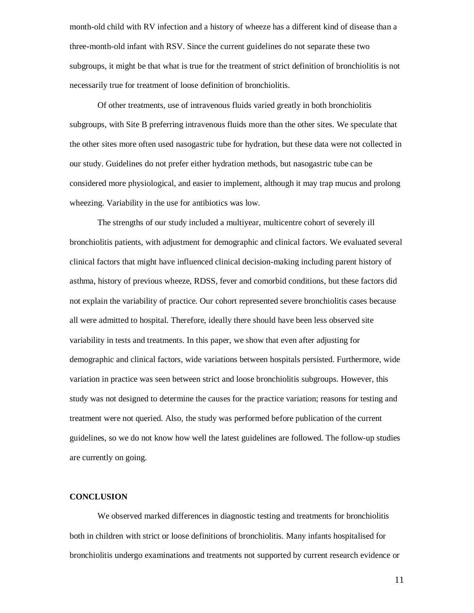month-old child with RV infection and a history of wheeze has a different kind of disease than a three-month-old infant with RSV. Since the current guidelines do not separate these two subgroups, it might be that what is true for the treatment of strict definition of bronchiolitis is not necessarily true for treatment of loose definition of bronchiolitis.

Of other treatments, use of intravenous fluids varied greatly in both bronchiolitis subgroups, with Site B preferring intravenous fluids more than the other sites. We speculate that the other sites more often used nasogastric tube for hydration, but these data were not collected in our study. Guidelines do not prefer either hydration methods, but nasogastric tube can be considered more physiological, and easier to implement, although it may trap mucus and prolong wheezing. Variability in the use for antibiotics was low.

The strengths of our study included a multiyear, multicentre cohort of severely ill bronchiolitis patients, with adjustment for demographic and clinical factors. We evaluated several clinical factors that might have influenced clinical decision-making including parent history of asthma, history of previous wheeze, RDSS, fever and comorbid conditions, but these factors did not explain the variability of practice. Our cohort represented severe bronchiolitis cases because all were admitted to hospital. Therefore, ideally there should have been less observed site variability in tests and treatments. In this paper, we show that even after adjusting for demographic and clinical factors, wide variations between hospitals persisted. Furthermore, wide variation in practice was seen between strict and loose bronchiolitis subgroups. However, this study was not designed to determine the causes for the practice variation; reasons for testing and treatment were not queried. Also, the study was performed before publication of the current guidelines, so we do not know how well the latest guidelines are followed. The follow-up studies are currently on going.

#### **CONCLUSION**

We observed marked differences in diagnostic testing and treatments for bronchiolitis both in children with strict or loose definitions of bronchiolitis. Many infants hospitalised for bronchiolitis undergo examinations and treatments not supported by current research evidence or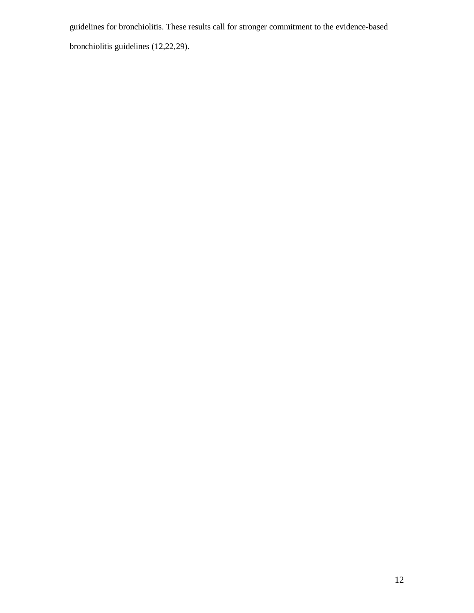guidelines for bronchiolitis. These results call for stronger commitment to the evidence-based

bronchiolitis guidelines (12,22,29).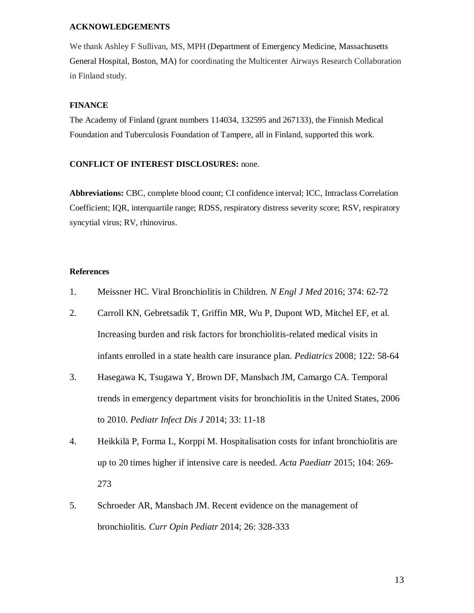#### **ACKNOWLEDGEMENTS**

We thank Ashley F Sullivan, MS, MPH (Department of Emergency Medicine, Massachusetts General Hospital, Boston, MA) for coordinating the Multicenter Airways Research Collaboration in Finland study.

## **FINANCE**

The Academy of Finland (grant numbers 114034, 132595 and 267133), the Finnish Medical Foundation and Tuberculosis Foundation of Tampere, all in Finland, supported this work.

# **CONFLICT OF INTEREST DISCLOSURES:** none.

**Abbreviations:** CBC, complete blood count; CI confidence interval; ICC, Intraclass Correlation Coefficient; IQR, interquartile range; RDSS, respiratory distress severity score; RSV, respiratory syncytial virus; RV, rhinovirus.

# **References**

- 1. Meissner HC. Viral Bronchiolitis in Children. *N Engl J Med* 2016; 374: 62-72
- 2. Carroll KN, Gebretsadik T, Griffin MR, Wu P, Dupont WD, Mitchel EF, et al. Increasing burden and risk factors for bronchiolitis-related medical visits in infants enrolled in a state health care insurance plan. *Pediatrics* 2008; 122: 58-64
- 3. Hasegawa K, Tsugawa Y, Brown DF, Mansbach JM, Camargo CA. Temporal trends in emergency department visits for bronchiolitis in the United States, 2006 to 2010. *Pediatr Infect Dis J* 2014; 33: 11-18
- 4. Heikkilä P, Forma L, Korppi M. Hospitalisation costs for infant bronchiolitis are up to 20 times higher if intensive care is needed. *Acta Paediatr* 2015; 104: 269- 273
- 5. Schroeder AR, Mansbach JM. Recent evidence on the management of bronchiolitis. *Curr Opin Pediatr* 2014; 26: 328-333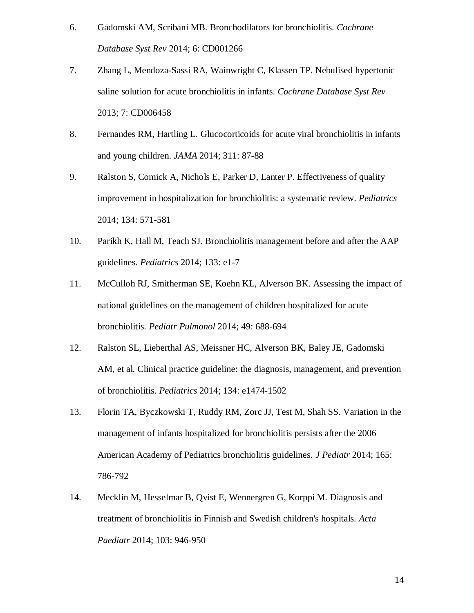- 6. Gadomski AM, Scribani MB. Bronchodilators for bronchiolitis. *Cochrane Database Syst Rev* 2014; 6: CD001266
- 7. Zhang L, Mendoza-Sassi RA, Wainwright C, Klassen TP. Nebulised hypertonic saline solution for acute bronchiolitis in infants. *Cochrane Database Syst Rev* 2013; 7: CD006458
- 8. Fernandes RM, Hartling L. Glucocorticoids for acute viral bronchiolitis in infants and young children. *JAMA* 2014; 311: 87-88
- 9. Ralston S, Comick A, Nichols E, Parker D, Lanter P. Effectiveness of quality improvement in hospitalization for bronchiolitis: a systematic review. *Pediatrics* 2014; 134: 571-581
- 10. Parikh K, Hall M, Teach SJ. Bronchiolitis management before and after the AAP guidelines. *Pediatrics* 2014; 133: e1-7
- 11. McCulloh RJ, Smitherman SE, Koehn KL, Alverson BK. Assessing the impact of national guidelines on the management of children hospitalized for acute bronchiolitis. *Pediatr Pulmonol* 2014; 49: 688-694
- 12. Ralston SL, Lieberthal AS, Meissner HC, Alverson BK, Baley JE, Gadomski AM, et al. Clinical practice guideline: the diagnosis, management, and prevention of bronchiolitis. *Pediatrics* 2014; 134: e1474-1502
- 13. Florin TA, Byczkowski T, Ruddy RM, Zorc JJ, Test M, Shah SS. Variation in the management of infants hospitalized for bronchiolitis persists after the 2006 American Academy of Pediatrics bronchiolitis guidelines. *J Pediatr* 2014; 165: 786-792
- 14. Mecklin M, Hesselmar B, Qvist E, Wennergren G, Korppi M. Diagnosis and treatment of bronchiolitis in Finnish and Swedish children's hospitals. *Acta Paediatr* 2014; 103: 946-950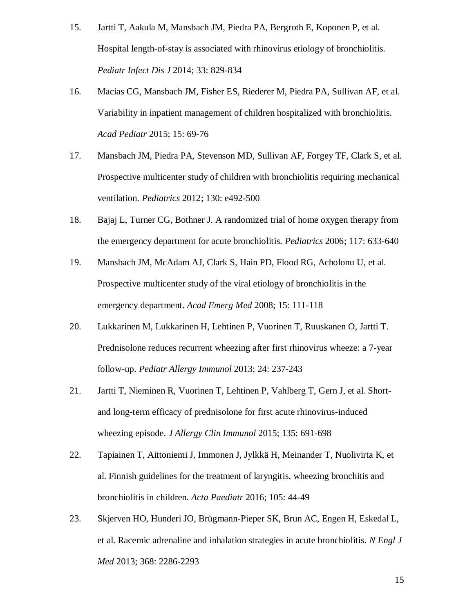- 15. Jartti T, Aakula M, Mansbach JM, Piedra PA, Bergroth E, Koponen P, et al. Hospital length-of-stay is associated with rhinovirus etiology of bronchiolitis. *Pediatr Infect Dis J* 2014; 33: 829-834
- 16. Macias CG, Mansbach JM, Fisher ES, Riederer M, Piedra PA, Sullivan AF, et al. Variability in inpatient management of children hospitalized with bronchiolitis. *Acad Pediatr* 2015; 15: 69-76
- 17. Mansbach JM, Piedra PA, Stevenson MD, Sullivan AF, Forgey TF, Clark S, et al. Prospective multicenter study of children with bronchiolitis requiring mechanical ventilation. *Pediatrics* 2012; 130: e492-500
- 18. Bajaj L, Turner CG, Bothner J. A randomized trial of home oxygen therapy from the emergency department for acute bronchiolitis. *Pediatrics* 2006; 117: 633-640
- 19. Mansbach JM, McAdam AJ, Clark S, Hain PD, Flood RG, Acholonu U, et al. Prospective multicenter study of the viral etiology of bronchiolitis in the emergency department. *Acad Emerg Med* 2008; 15: 111-118
- 20. Lukkarinen M, Lukkarinen H, Lehtinen P, Vuorinen T, Ruuskanen O, Jartti T. Prednisolone reduces recurrent wheezing after first rhinovirus wheeze: a 7-year follow-up. *Pediatr Allergy Immunol* 2013; 24: 237-243
- 21. Jartti T, Nieminen R, Vuorinen T, Lehtinen P, Vahlberg T, Gern J, et al. Shortand long-term efficacy of prednisolone for first acute rhinovirus-induced wheezing episode. *J Allergy Clin Immunol* 2015; 135: 691-698
- 22. Tapiainen T, Aittoniemi J, Immonen J, Jylkkä H, Meinander T, Nuolivirta K, et al. Finnish guidelines for the treatment of laryngitis, wheezing bronchitis and bronchiolitis in children. *Acta Paediatr* 2016; 105: 44-49
- 23. Skjerven HO, Hunderi JO, Brügmann-Pieper SK, Brun AC, Engen H, Eskedal L, et al. Racemic adrenaline and inhalation strategies in acute bronchiolitis. *N Engl J Med* 2013; 368: 2286-2293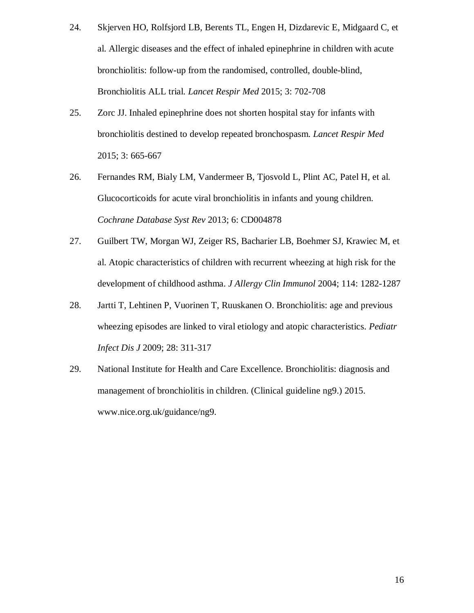- 24. Skjerven HO, Rolfsjord LB, Berents TL, Engen H, Dizdarevic E, Midgaard C, et al. Allergic diseases and the effect of inhaled epinephrine in children with acute bronchiolitis: follow-up from the randomised, controlled, double-blind, Bronchiolitis ALL trial. *Lancet Respir Med* 2015; 3: 702-708
- 25. Zorc JJ. Inhaled epinephrine does not shorten hospital stay for infants with bronchiolitis destined to develop repeated bronchospasm. *Lancet Respir Med* 2015; 3: 665-667
- 26. Fernandes RM, Bialy LM, Vandermeer B, Tjosvold L, Plint AC, Patel H, et al. Glucocorticoids for acute viral bronchiolitis in infants and young children. *Cochrane Database Syst Rev* 2013; 6: CD004878
- 27. Guilbert TW, Morgan WJ, Zeiger RS, Bacharier LB, Boehmer SJ, Krawiec M, et al. Atopic characteristics of children with recurrent wheezing at high risk for the development of childhood asthma. *J Allergy Clin Immunol* 2004; 114: 1282-1287
- 28. Jartti T, Lehtinen P, Vuorinen T, Ruuskanen O. Bronchiolitis: age and previous wheezing episodes are linked to viral etiology and atopic characteristics. *Pediatr Infect Dis J* 2009; 28: 311-317
- 29. National Institute for Health and Care Excellence. Bronchiolitis: diagnosis and management of bronchiolitis in children. (Clinical guideline ng9.) 2015. www.nice.org.uk/guidance/ng9.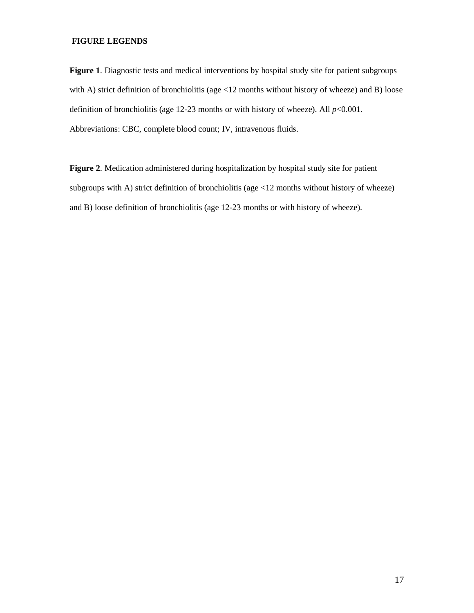# **FIGURE LEGENDS**

**Figure 1**. Diagnostic tests and medical interventions by hospital study site for patient subgroups with A) strict definition of bronchiolitis (age <12 months without history of wheeze) and B) loose definition of bronchiolitis (age  $12-23$  months or with history of wheeze). All  $p<0.001$ . Abbreviations: CBC, complete blood count; IV, intravenous fluids.

**Figure 2**. Medication administered during hospitalization by hospital study site for patient subgroups with A) strict definition of bronchiolitis (age <12 months without history of wheeze) and B) loose definition of bronchiolitis (age 12-23 months or with history of wheeze).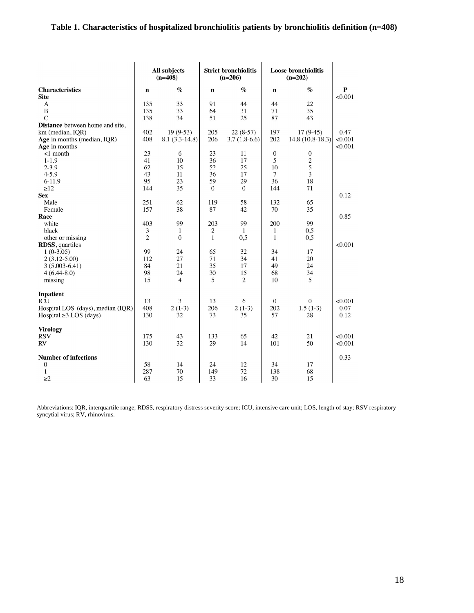# **Table 1. Characteristics of hospitalized bronchiolitis patients by bronchiolitis definition (n=408)**

|                                   |                | All subjects<br><b>Strict bronchiolitis</b><br><b>Loose bronchiolitis</b><br>$(n=408)$<br>$(n=206)$<br>$(n=202)$ |              |                |                  |                   |              |
|-----------------------------------|----------------|------------------------------------------------------------------------------------------------------------------|--------------|----------------|------------------|-------------------|--------------|
| <b>Characteristics</b>            | $\mathbf n$    | $\%$                                                                                                             | $\mathbf n$  | $\%$           | n                | $\%$              | $\mathbf{P}$ |
| <b>Site</b>                       |                |                                                                                                                  |              |                |                  |                   | < 0.001      |
| A                                 | 135            | 33                                                                                                               | 91           | 44             | 44               | 22                |              |
| $\bf{B}$                          | 135            | 33                                                                                                               | 64           | 31             | 71               | 35                |              |
| $\mathsf{C}$                      | 138            | 34                                                                                                               | 51           | 25             | 87               | 43                |              |
| Distance between home and site,   |                |                                                                                                                  |              |                |                  |                   |              |
| km (median, IQR)                  | 402            | $19(9-53)$                                                                                                       | 205          | $22(8-57)$     | 197              | $17(9-45)$        | 0.47         |
| Age in months (median, IQR)       | 408            | $8.1(3.3-14.8)$                                                                                                  | 206          | $3.7(1.8-6.6)$ | 202              | $14.8(10.8-18.3)$ | < 0.001      |
| Age in months                     |                |                                                                                                                  |              |                |                  |                   | < 0.001      |
| $<1$ month                        | 23             | 6                                                                                                                | 23           | 11             | $\boldsymbol{0}$ | $\mathbf{0}$      |              |
| $1 - 1.9$                         | 41             | 10                                                                                                               | 36           | 17             | 5                |                   |              |
| $2 - 3.9$                         | 62             | 15                                                                                                               | 52           | 25             | 10               | $rac{2}{5}$       |              |
| $4 - 5.9$                         | 43             | 11                                                                                                               | 36           | 17             | $\overline{7}$   | $\overline{3}$    |              |
| $6-11.9$                          | 95             | 23                                                                                                               | 59           | 29             | 36               | 18                |              |
| $\geq$ 12                         | 144            | 35                                                                                                               | $\theta$     | $\theta$       | 144              | 71                |              |
| <b>Sex</b>                        |                |                                                                                                                  |              |                |                  |                   | 0.12         |
| Male                              | 251            | 62                                                                                                               | 119          | 58             | 132              | 65                |              |
| Female                            | 157            | 38                                                                                                               | 87           | 42             | 70               | 35                |              |
| Race                              |                |                                                                                                                  |              |                |                  |                   | 0.85         |
| white                             | 403            | 99                                                                                                               | 203          | 99             | 200              | 99                |              |
| black                             | 3              | 1                                                                                                                | $\sqrt{2}$   | $\mathbf{1}$   | $\mathbf{1}$     | 0,5               |              |
| other or missing                  | $\overline{2}$ | $\theta$                                                                                                         | $\mathbf{1}$ | 0.5            | $\mathbf{1}$     | 0,5               |              |
| RDSS, quartiles                   |                |                                                                                                                  |              |                |                  |                   | < 0.001      |
| $1(0-3.05)$                       | 99             | 24                                                                                                               | 65           | 32             | 34               | 17                |              |
| $2(3.12 - 5.00)$                  | 112            | 27                                                                                                               | 71           | 34             | 41               | 20                |              |
| $3(5.003 - 6.41)$                 | 84             | 21                                                                                                               | 35           | 17             | 49               | 24                |              |
| $4(6.44 - 8.0)$                   | 98             | 24                                                                                                               | 30           | 15             | 68               | 34                |              |
| missing                           | 15             | $\overline{4}$                                                                                                   | 5            | 2              | 10               | 5                 |              |
|                                   |                |                                                                                                                  |              |                |                  |                   |              |
| <b>Inpatient</b>                  |                |                                                                                                                  |              |                |                  |                   |              |
| <b>ICU</b>                        | 13             | 3                                                                                                                | 13           | 6              | $\mathbf{0}$     | $\boldsymbol{0}$  | < 0.001      |
| Hospital LOS (days), median (IQR) | 408            | $2(1-3)$                                                                                                         | 206          | $2(1-3)$       | 202              | $1.5(1-3)$        | 0.07         |
| Hospital $\geq$ 3 LOS (days)      | 130            | 32                                                                                                               | 73           | 35             | 57               | 28                | 0.12         |
|                                   |                |                                                                                                                  |              |                |                  |                   |              |
| <b>Virology</b>                   |                |                                                                                                                  |              |                |                  |                   |              |
| <b>RSV</b>                        | 175            | 43                                                                                                               | 133          | 65             | 42               | 21                | < 0.001      |
| RV                                | 130            | 32                                                                                                               | 29           | 14             | 101              | 50                | < 0.001      |
|                                   |                |                                                                                                                  |              |                |                  |                   |              |
| <b>Number of infections</b>       |                |                                                                                                                  |              |                |                  |                   | 0.33         |
| $\boldsymbol{0}$                  | 58             | 14                                                                                                               | 24           | 12             | 34               | 17                |              |
| $\mathbf{1}$                      | 287            | 70                                                                                                               | 149          | 72             | 138              | 68                |              |
|                                   |                |                                                                                                                  |              |                |                  |                   |              |
| $\geq$ 2                          | 63             | 15                                                                                                               | 33           | 16             | 30               | 15                |              |

Abbreviations: IQR, interquartile range; RDSS, respiratory distress severity score; ICU, intensive care unit; LOS, length of stay; RSV respiratory syncytial virus; RV, rhinovirus.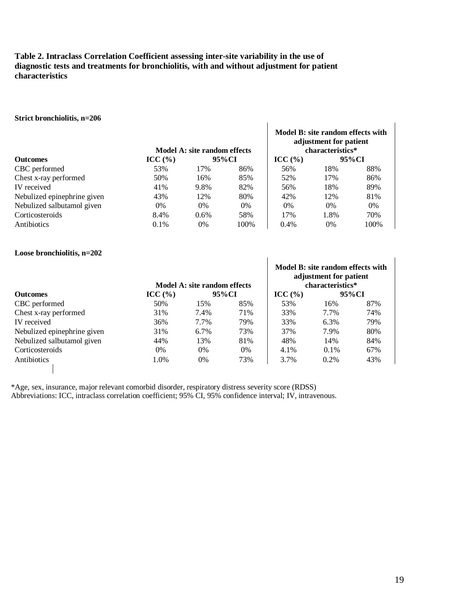# **Table 2. Intraclass Correlation Coefficient assessing inter-site variability in the use of diagnostic tests and treatments for bronchiolitis, with and without adjustment for patient characteristics**

#### **Strict bronchiolitis, n=206**

|                             |                     | Model A: site random effects |       | adjustment for patient<br>characteristics* |       |      |
|-----------------------------|---------------------|------------------------------|-------|--------------------------------------------|-------|------|
| <b>Outcomes</b>             | $\text{ICC } (\% )$ | 95%CI                        |       | $\text{ICC } (\% )$                        | 95%CI |      |
| CBC performed               | 53%                 | 17%                          | 86%   | 56%                                        | 18%   | 88%  |
| Chest x-ray performed       | 50%                 | 16%                          | 85%   | 52%                                        | 17%   | 86%  |
| IV received                 | 41%                 | 9.8%                         | 82%   | 56%                                        | 18%   | 89%  |
| Nebulized epinephrine given | 43%                 | 12%                          | 80%   | 42%                                        | 12%   | 81%  |
| Nebulized salbutamol given  | 0%                  | 0%                           | $0\%$ | $0\%$                                      | $0\%$ | 0%   |
| Corticosteroids             | 8.4%                | $0.6\%$                      | 58%   | 17%                                        | 1.8%  | 70%  |
| Antibiotics                 | $0.1\%$             | 0%                           | 100%  | $0.4\%$                                    | $0\%$ | 100% |

**Model B: site random effects with** 

#### **Loose bronchiolitis, n=202**

|                             |                     | Model A: site random effects |     | Model B: site random effects with<br>adjustment for patient<br>characteristics* |         |       |  |
|-----------------------------|---------------------|------------------------------|-----|---------------------------------------------------------------------------------|---------|-------|--|
| <b>Outcomes</b>             | $\text{ICC } (\% )$ | 95%CI                        |     | $\text{ICC } (\% )$                                                             |         | 95%CI |  |
| CBC performed               | 50%                 | 15%                          | 85% | 53%                                                                             | 16%     | 87%   |  |
| Chest x-ray performed       | 31%                 | 7.4%                         | 71% | 33%                                                                             | 7.7%    | 74%   |  |
| IV received                 | 36%                 | 7.7%                         | 79% | 33%                                                                             | 6.3%    | 79%   |  |
| Nebulized epinephrine given | 31%                 | $6.7\%$                      | 73% | 37%                                                                             | 7.9%    | 80%   |  |
| Nebulized salbutamol given  | 44%                 | 13%                          | 81% | 48%                                                                             | 14%     | 84%   |  |
| Corticosteroids             | $0\%$               | 0%                           | 0%  | 4.1%                                                                            | $0.1\%$ | 67%   |  |
| Antibiotics                 | 1.0%                | 0%                           | 73% | 3.7%                                                                            | $0.2\%$ | 43%   |  |

\*Age, sex, insurance, major relevant comorbid disorder, respiratory distress severity score (RDSS)

Abbreviations: ICC, intraclass correlation coefficient; 95% CI, 95% confidence interval; IV, intravenous.